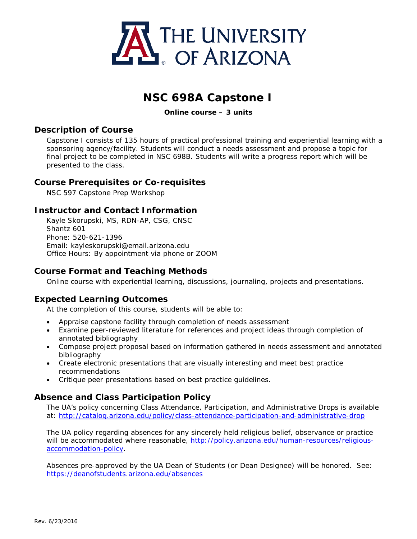

# **NSC 698A Capstone I**

**Online course – 3 units** 

### **Description of Course**

Capstone I consists of 135 hours of practical professional training and experiential learning with a sponsoring agency/facility. Students will conduct a needs assessment and propose a topic for final project to be completed in NSC 698B. Students will write a progress report which will be presented to the class.

### **Course Prerequisites or Co-requisites**

NSC 597 Capstone Prep Workshop

### **Instructor and Contact Information**

Kayle Skorupski, MS, RDN-AP, CSG, CNSC Shantz 601 Phone: 520-621-1396 Email: kayleskorupski@email.arizona.edu Office Hours: By appointment via phone or ZOOM

### **Course Format and Teaching Methods**

Online course with experiential learning, discussions, journaling, projects and presentations.

### **Expected Learning Outcomes**

At the completion of this course, students will be able to:

- Appraise capstone facility through completion of needs assessment
- Examine peer-reviewed literature for references and project ideas through completion of annotated bibliography
- Compose project proposal based on information gathered in needs assessment and annotated bibliography
- Create electronic presentations that are visually interesting and meet best practice recommendations
- Critique peer presentations based on best practice guidelines.

### **Absence and Class Participation Policy**

The UA's policy concerning Class Attendance, Participation, and Administrative Drops is available at:<http://catalog.arizona.edu/policy/class-attendance-participation-and-administrative-drop>

The UA policy regarding absences for any sincerely held religious belief, observance or practice will be accommodated where reasonable, [http://policy.arizona.edu/human-resources/religious](http://policy.arizona.edu/human-resources/religious-accommodation-policy)[accommodation-policy.](http://policy.arizona.edu/human-resources/religious-accommodation-policy)

Absences pre-approved by the UA Dean of Students (or Dean Designee) will be honored. See: <https://deanofstudents.arizona.edu/absences>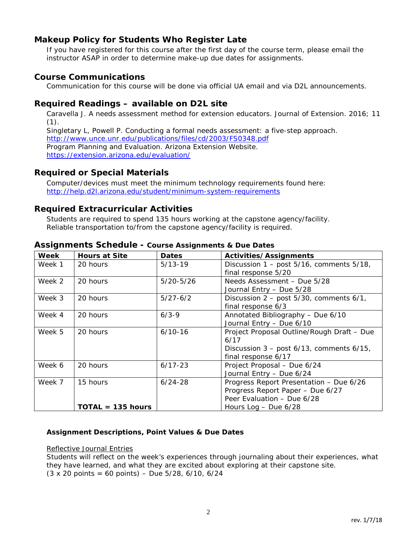# **Makeup Policy for Students Who Register Late**

If you have registered for this course after the first day of the course term, please email the instructor ASAP in order to determine make-up due dates for assignments.

### **Course Communications**

Communication for this course will be done via official UA email and via D2L announcements.

### **Required Readings – available on D2L site**

Caravella J. A needs assessment method for extension educators. Journal of Extension. 2016; 11  $(1).$ Singletary L, Powell P. Conducting a formal needs assessment: a five-step approach.

<http://www.unce.unr.edu/publications/files/cd/2003/FS0348.pdf> Program Planning and Evaluation. Arizona Extension Website.

<https://extension.arizona.edu/evaluation/>

### **Required or Special Materials**

Computer/devices must meet the minimum technology requirements found here: <http://help.d2l.arizona.edu/student/minimum-system-requirements>

### **Required Extracurricular Activities**

Students are required to spend 135 hours working at the capstone agency/facility. Reliable transportation to/from the capstone agency/facility is required.

| Week   | <b>Hours at Site</b>            | <b>Dates</b>  | Activities/Assignments                                                                                                              |
|--------|---------------------------------|---------------|-------------------------------------------------------------------------------------------------------------------------------------|
| Week 1 | 20 hours                        | $5/13-19$     | Discussion $1 - \text{post } 5/16$ , comments $5/18$ ,<br>final response 5/20                                                       |
| Week 2 | 20 hours                        | $5/20 - 5/26$ | Needs Assessment - Due 5/28<br>Journal Entry - Due 5/28                                                                             |
| Week 3 | 20 hours                        | $5/27 - 6/2$  | Discussion 2 - post 5/30, comments 6/1,<br>final response 6/3                                                                       |
| Week 4 | 20 hours                        | $6/3 - 9$     | Annotated Bibliography - Due 6/10<br>Journal Entry - Due 6/10                                                                       |
| Week 5 | 20 hours                        | $6/10-16$     | Project Proposal Outline/Rough Draft - Due<br>6/17<br>Discussion $3 - \text{post } 6/13$ , comments $6/15$ ,<br>final response 6/17 |
| Week 6 | 20 hours                        | $6/17 - 23$   | Project Proposal - Due 6/24<br>Journal Entry - Due 6/24                                                                             |
| Week 7 | 15 hours<br>$TOTAL = 135 hours$ | $6/24 - 28$   | Progress Report Presentation - Due 6/26<br>Progress Report Paper - Due 6/27<br>Peer Evaluation - Due 6/28<br>Hours Log $-$ Due 6/28 |

#### **Assignments Schedule - Course Assignments & Due Dates**

#### **Assignment Descriptions, Point Values & Due Dates**

#### *Reflective Journal Entries*

Students will reflect on the week's experiences through journaling about their experiences, what they have learned, and what they are excited about exploring at their capstone site. *(3 x 20 points = 60 points) – Due 5/28, 6/10, 6/24*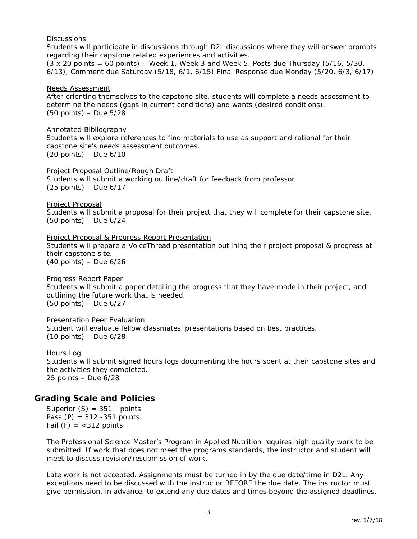#### *Discussions*

Students will participate in discussions through D2L discussions where they will answer prompts regarding their capstone related experiences and activities.

*(3 x 20 points = 60 points) – Week 1, Week 3 and Week 5. Posts due Thursday (5/16, 5/30, 6/13), Comment due Saturday (5/18, 6/1, 6/15) Final Response due Monday (5/20, 6/3, 6/17)*

#### *Needs Assessment*

After orienting themselves to the capstone site, students will complete a needs assessment to determine the needs (gaps in current conditions) and wants (desired conditions). *(50 points) – Due 5/28*

#### *Annotated Bibliography*

Students will explore references to find materials to use as support and rational for their capstone site's needs assessment outcomes. *(20 points) – Due 6/10*

#### *Project Proposal Outline/Rough Draft*

Students will submit a working outline/draft for feedback from professor (25 points) – Due 6/17

#### *Project Proposal*

Students will submit a proposal for their project that they will complete for their capstone site. *(50 points) – Due 6/24*

#### *Project Proposal & Progress Report Presentation*

Students will prepare a VoiceThread presentation outlining their project proposal & progress at their capstone site. *(40 points) – Due 6/26*

#### *Progress Report Paper*

Students will submit a paper detailing the progress that they have made in their project, and outlining the future work that is needed. *(50 points) – Due 6/27*

#### *Presentation Peer Evaluation*

Student will evaluate fellow classmates' presentations based on best practices. *(10 points) – Due 6/28*

#### *Hours Log*

Students will submit signed hours logs documenting the hours spent at their capstone sites and the activities they completed. 25 points – *Due 6/28*

### **Grading Scale and Policies**

Superior  $(S) = 351 +$  points Pass  $(P) = 312 - 351$  points Fail  $(F) = <312$  points

The Professional Science Master's Program in Applied Nutrition requires high quality work to be submitted. If work that does not meet the programs standards, the instructor and student will meet to discuss revision/resubmission of work.

Late work is not accepted. Assignments must be turned in by the due date/time in D2L. Any exceptions need to be discussed with the instructor BEFORE the due date. The instructor must give permission, in advance, to extend any due dates and times beyond the assigned deadlines.